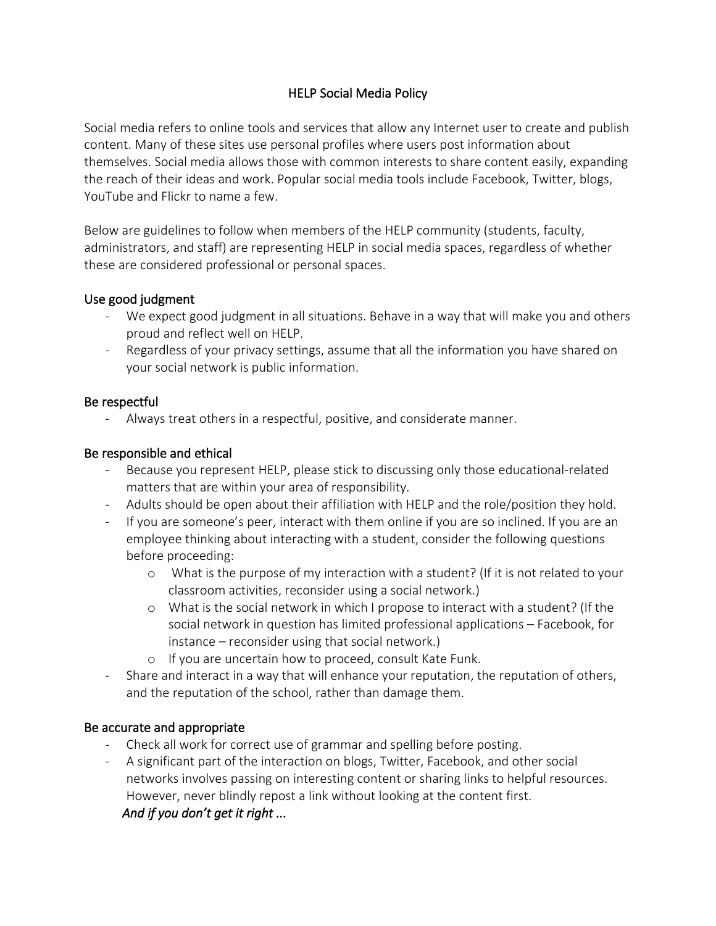## HELP Social Media Policy

Social media refers to online tools and services that allow any Internet user to create and publish content. Many of these sites use personal profiles where users post information about themselves. Social media allows those with common interests to share content easily, expanding the reach of their ideas and work. Popular social media tools include Facebook, Twitter, blogs, YouTube and Flickr to name a few.

Below are guidelines to follow when members of the HELP community (students, faculty, administrators, and staff) are representing HELP in social media spaces, regardless of whether these are considered professional or personal spaces.

### Use good judgment

- We expect good judgment in all situations. Behave in a way that will make you and others proud and reflect well on HELP.
- Regardless of your privacy settings, assume that all the information you have shared on your social network is public information.

## Be respectful

Always treat others in a respectful, positive, and considerate manner.

## Be responsible and ethical

- Because you represent HELP, please stick to discussing only those educational-related matters that are within your area of responsibility.
- Adults should be open about their affiliation with HELP and the role/position they hold.
- If you are someone's peer, interact with them online if you are so inclined. If you are an employee thinking about interacting with a student, consider the following questions before proceeding:
	- o What is the purpose of my interaction with a student? (If it is not related to your classroom activities, reconsider using a social network.)
	- o What is the social network in which I propose to interact with a student? (If the social network in question has limited professional applications – Facebook, for instance – reconsider using that social network.)
	- o If you are uncertain how to proceed, consult Kate Funk.
- Share and interact in a way that will enhance your reputation, the reputation of others, and the reputation of the school, rather than damage them.

# Be accurate and appropriate

- Check all work for correct use of grammar and spelling before posting.
- A significant part of the interaction on blogs, Twitter, Facebook, and other social networks involves passing on interesting content or sharing links to helpful resources. However, never blindly repost a link without looking at the content first. *And if you don't get it right ...*